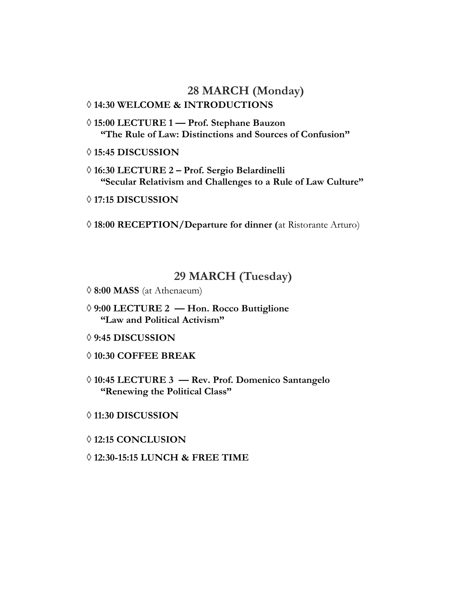# **28 MARCH (Monday)**

# **14:30 WELCOME & INTRODUCTIONS**

- **15:00 LECTURE 1 — Prof. Stephane Bauzon "The Rule of Law: Distinctions and Sources of Confusion"**
- **15:45 DISCUSSION**
- **16:30 LECTURE 2 – Prof. Sergio Belardinelli "Secular Relativism and Challenges to a Rule of Law Culture"**
- **17:15 DISCUSSION**

**18:00 RECEPTION/Departure for dinner (**at Ristorante Arturo)

# **29 MARCH (Tuesday)**

- **8:00 MASS** (at Athenaeum)
- **9:00 LECTURE 2 — Hon. Rocco Buttiglione "Law and Political Activism"**
- **9:45 DISCUSSION**
- **10:30 COFFEE BREAK**
- **10:45 LECTURE 3 — Rev. Prof. Domenico Santangelo "Renewing the Political Class"**
- **11:30 DISCUSSION**
- **12:15 CONCLUSION**
- **12:30-15:15 LUNCH & FREE TIME**